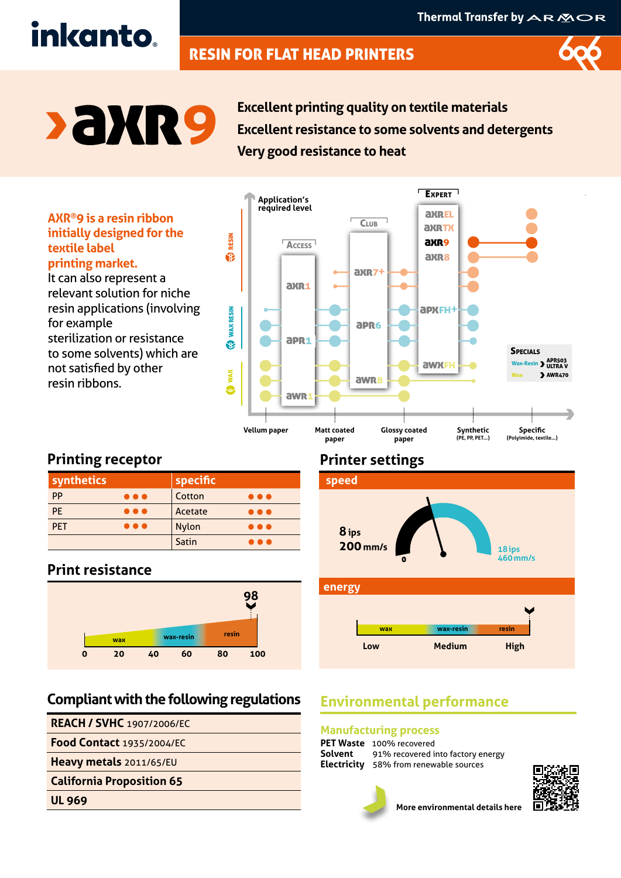# RESIN FOR FLAT HEAD PRINTERS



**SAXR9** 

inkanto.

**Excellent printing quality on textile materials Excellent resistance to some solvents and detergents Very good resistance to heat**

#### **AXR®9 is a resin ribbon initially designed for the textile label printing market.**

It can also represent a relevant solution for niche resin applications (involving for example sterilization or resistance to some solvents) which are not satisfied by other resin ribbons.



# **Printing receptor**

| synthetics                            | specific |                         |
|---------------------------------------|----------|-------------------------|
| PP<br>$\bullet\bullet\bullet$         | Cotton   | $\bullet\bullet\bullet$ |
| <b>PE</b><br>$\bullet\bullet\bullet$  | Acetate  | $\bullet\bullet\bullet$ |
| <b>PET</b><br>$\bullet\bullet\bullet$ | Nylon    | $\bullet\bullet\bullet$ |
|                                       | Satin    | .                       |

## **Print resistance**



# **Compliant with the following regulations**

#### **REACH / SVHC** 1907/2006/EC

**Food Contact** 1935/2004/EC

**Heavy metals** 2011/65/EU

#### **California Proposition 65**

**UL 969**

# **Printer settings**



# **Environmental performance**

#### **Manufacturing process**

| <b>PET Waste</b> 100% recovered                  |
|--------------------------------------------------|
| <b>Solvent</b> 91% recovered into factory energy |
| <b>Electricity</b> 58% from renewable sources    |



**More environmental details here**